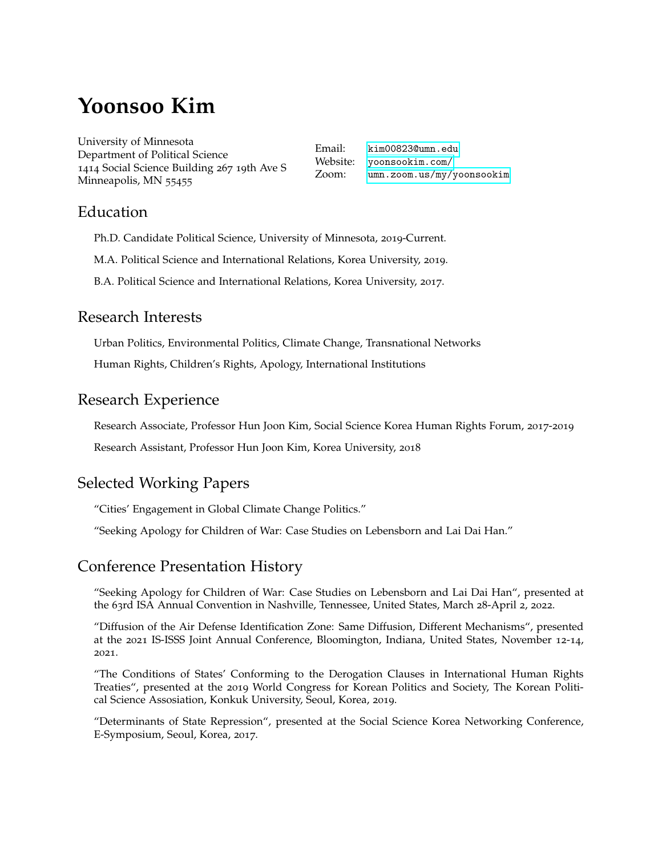# **Yoonsoo Kim**

University of Minnesota Department of Political Science 1414 Social Science Building 267 19th Ave S Minneapolis, MN 55455

Email: [kim00823@umn.edu](mailto:kim00823@umn.edu) Website: [yoonsookim.com/](http://yoonsookim.com/) Zoom: [umn.zoom.us/my/yoonsookim](http://umn.zoom.us/my/yoonsookim)

### Education

- Ph.D. Candidate Political Science, University of Minnesota, 2019-Current.
- M.A. Political Science and International Relations, Korea University, 2019.
- B.A. Political Science and International Relations, Korea University, 2017.

## Research Interests

Urban Politics, Environmental Politics, Climate Change, Transnational Networks

Human Rights, Children's Rights, Apology, International Institutions

# Research Experience

Research Associate, Professor Hun Joon Kim, Social Science Korea Human Rights Forum, 2017-2019

Research Assistant, Professor Hun Joon Kim, Korea University, 2018

# Selected Working Papers

"Cities' Engagement in Global Climate Change Politics."

"Seeking Apology for Children of War: Case Studies on Lebensborn and Lai Dai Han."

# Conference Presentation History

"Seeking Apology for Children of War: Case Studies on Lebensborn and Lai Dai Han", presented at the 63rd ISA Annual Convention in Nashville, Tennessee, United States, March 28-April 2, 2022.

"Diffusion of the Air Defense Identification Zone: Same Diffusion, Different Mechanisms", presented at the 2021 IS-ISSS Joint Annual Conference, Bloomington, Indiana, United States, November 12-14, 2021.

"The Conditions of States' Conforming to the Derogation Clauses in International Human Rights Treaties", presented at the 2019 World Congress for Korean Politics and Society, The Korean Political Science Assosiation, Konkuk University, Seoul, Korea, 2019.

"Determinants of State Repression", presented at the Social Science Korea Networking Conference, E-Symposium, Seoul, Korea, 2017.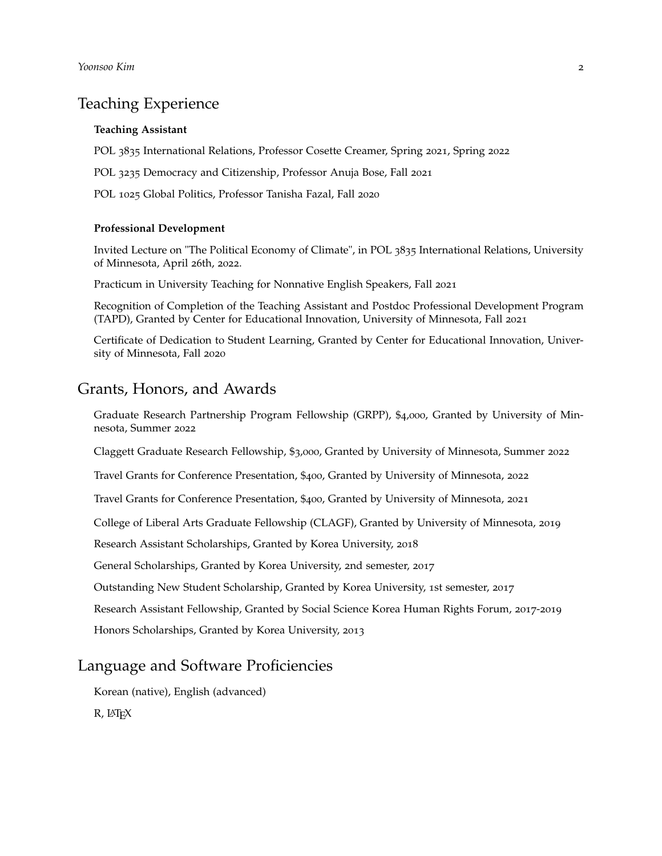### Teaching Experience

#### **Teaching Assistant**

POL 3835 International Relations, Professor Cosette Creamer, Spring 2021, Spring 2022

POL 3235 Democracy and Citizenship, Professor Anuja Bose, Fall 2021

POL 1025 Global Politics, Professor Tanisha Fazal, Fall 2020

#### **Professional Development**

Invited Lecture on "The Political Economy of Climate", in POL 3835 International Relations, University of Minnesota, April 26th, 2022.

Practicum in University Teaching for Nonnative English Speakers, Fall 2021

Recognition of Completion of the Teaching Assistant and Postdoc Professional Development Program (TAPD), Granted by Center for Educational Innovation, University of Minnesota, Fall 2021

Certificate of Dedication to Student Learning, Granted by Center for Educational Innovation, University of Minnesota, Fall 2020

### Grants, Honors, and Awards

Graduate Research Partnership Program Fellowship (GRPP), \$4,000, Granted by University of Minnesota, Summer 2022

Claggett Graduate Research Fellowship, \$3,000, Granted by University of Minnesota, Summer 2022

Travel Grants for Conference Presentation, \$400, Granted by University of Minnesota, 2022

Travel Grants for Conference Presentation, \$400, Granted by University of Minnesota, 2021

College of Liberal Arts Graduate Fellowship (CLAGF), Granted by University of Minnesota, 2019

Research Assistant Scholarships, Granted by Korea University, 2018

General Scholarships, Granted by Korea University, 2nd semester, 2017

Outstanding New Student Scholarship, Granted by Korea University, 1st semester, 2017

Research Assistant Fellowship, Granted by Social Science Korea Human Rights Forum, 2017-2019

Honors Scholarships, Granted by Korea University, 2013

### Language and Software Proficiencies

Korean (native), English (advanced)

R, LATEX